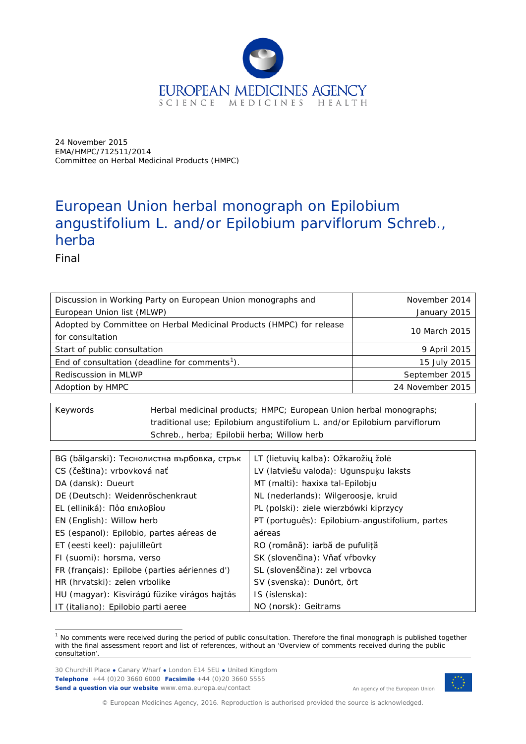

24 November 2015 EMA/HMPC/712511/2014 Committee on Herbal Medicinal Products (HMPC)

# European Union herbal monograph on *Epilobium angustifolium* L. and/or *Epilobium parviflorum* Schreb., herba

Final

| Discussion in Working Party on European Union monographs and         | November 2014    |
|----------------------------------------------------------------------|------------------|
| European Union list (MLWP)                                           | January 2015     |
| Adopted by Committee on Herbal Medicinal Products (HMPC) for release |                  |
| for consultation                                                     | 10 March 2015    |
| Start of public consultation                                         | 9 April 2015     |
| End of consultation (deadline for comments <sup>1</sup> ).           | 15 July 2015     |
| Rediscussion in MLWP                                                 | September 2015   |
| Adoption by HMPC                                                     | 24 November 2015 |

| Keywords | Herbal medicinal products; HMPC; European Union herbal monographs;       |
|----------|--------------------------------------------------------------------------|
|          | traditional use; Epilobium angustifolium L. and/or Epilobium parviflorum |
|          | Schreb., herba; Epilobii herba; Willow herb                              |

| BG (bălgarski): Теснолистна върбовка, стрък   | LT (lietuvių kalba): Ožkarožių žolė             |
|-----------------------------------------------|-------------------------------------------------|
| CS (čeština): vrbovková nať                   | LV (latviešu valoda): Ugunspuķu laksts          |
| DA (dansk): Dueurt                            | MT (malti): haxixa tal-Epilobju                 |
| DE (Deutsch): Weidenröschenkraut              | NL (nederlands): Wilgeroosje, kruid             |
| EL (elliniká): Πόα επιλοβίου                  | PL (polski): ziele wierzbówki kiprzycy          |
| EN (English): Willow herb                     | PT (português): Epilobium-angustifolium, partes |
| ES (espanol): Epilobio, partes aéreas de      | aéreas                                          |
| ET (eesti keel): pajulilleürt                 | RO (română): iarbă de pufuliță                  |
| FI (suomi): horsma, verso                     | SK (slovenčina): Vňať vŕbovky                   |
| FR (français): Epilobe (parties aériennes d') | SL (slovenščina): zel vrbovca                   |
| HR (hrvatski): zelen vrbolike                 | SV (svenska): Dunört, ört                       |
| HU (magyar): Kisvirágú füzike virágos hajtás  | IS (íslenska):                                  |
| IT (italiano): Epilobio parti aeree           | NO (norsk): Geitrams                            |

<span id="page-0-0"></span> $<sup>1</sup>$  No comments were received during the period of public consultation. Therefore the final monograph is published together</sup> with the final assessment report and list of references, without an 'Overview of comments received during the public consultation'. ł

30 Churchill Place **●** Canary Wharf **●** London E14 5EU **●** United Kingdom **Telephone** +44 (0)20 3660 6000 **Facsimile** +44 (0)20 3660 5555 **Send a question via our website** www.ema.europa.eu/contact



© European Medicines Agency, 2016. Reproduction is authorised provided the source is acknowledged.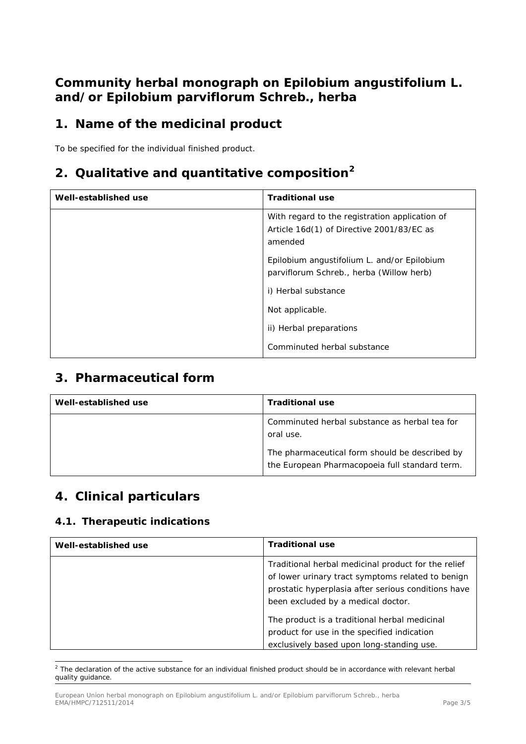# **Community herbal monograph on** *Epilobium angustifolium* **L. and/or** *Epilobium parviflorum* **Schreb., herba**

# **1. Name of the medicinal product**

To be specified for the individual finished product.

# **2. Qualitative and quantitative composition[2](#page-1-0)**

| Well-established use | <b>Traditional use</b>                                                                                 |
|----------------------|--------------------------------------------------------------------------------------------------------|
|                      | With regard to the registration application of<br>Article 16d(1) of Directive 2001/83/EC as<br>amended |
|                      | Epilobium angustifolium L. and/or Epilobium<br>parviflorum Schreb., herba (Willow herb)                |
|                      | i) Herbal substance                                                                                    |
|                      | Not applicable.                                                                                        |
|                      | ii) Herbal preparations                                                                                |
|                      | Comminuted herbal substance                                                                            |

## **3. Pharmaceutical form**

| Well-established use | <b>Traditional use</b>                                                                           |
|----------------------|--------------------------------------------------------------------------------------------------|
|                      | Comminuted herbal substance as herbal tea for<br>oral use.                                       |
|                      | The pharmaceutical form should be described by<br>the European Pharmacopoeia full standard term. |

## **4. Clinical particulars**

#### *4.1. Therapeutic indications*

| Well-established use | <b>Traditional use</b>                                                                                                                                          |
|----------------------|-----------------------------------------------------------------------------------------------------------------------------------------------------------------|
|                      | Traditional herbal medicinal product for the relief<br>of lower urinary tract symptoms related to benign<br>prostatic hyperplasia after serious conditions have |
|                      | been excluded by a medical doctor.                                                                                                                              |
|                      | The product is a traditional herbal medicinal                                                                                                                   |
|                      | product for use in the specified indication                                                                                                                     |
|                      | exclusively based upon long-standing use.                                                                                                                       |

<span id="page-1-0"></span> $2$  The declaration of the active substance for an individual finished product should be in accordance with relevant herbal quality guidance. ł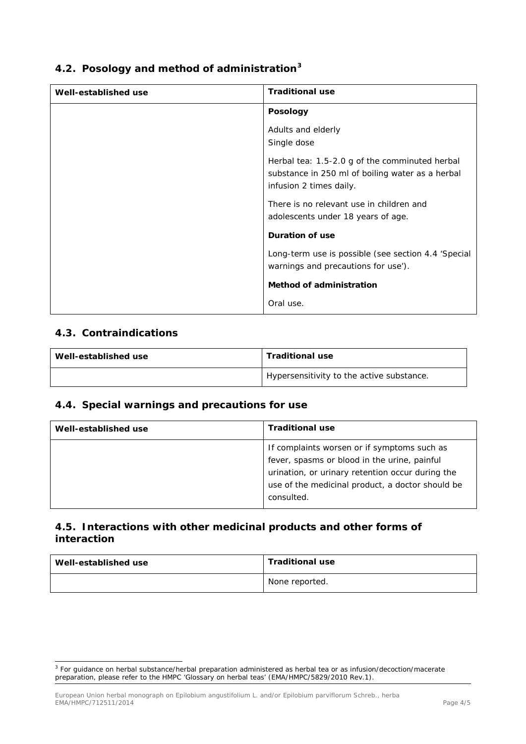| 4.2. Posology and method of administration <sup>3</sup> |  |  |  |
|---------------------------------------------------------|--|--|--|
|                                                         |  |  |  |

| Well-established use | <b>Traditional use</b>                                                                                                        |
|----------------------|-------------------------------------------------------------------------------------------------------------------------------|
|                      | <b>Posology</b>                                                                                                               |
|                      | Adults and elderly<br>Single dose                                                                                             |
|                      | Herbal tea: 1.5-2.0 g of the comminuted herbal<br>substance in 250 ml of boiling water as a herbal<br>infusion 2 times daily. |
|                      | There is no relevant use in children and<br>adolescents under 18 years of age.                                                |
|                      | <b>Duration of use</b>                                                                                                        |
|                      | Long-term use is possible (see section 4.4 'Special<br>warnings and precautions for use').                                    |
|                      | <b>Method of administration</b>                                                                                               |
|                      | Oral use.                                                                                                                     |

#### *4.3. Contraindications*

| Well-established use | <b>Traditional use</b>                    |
|----------------------|-------------------------------------------|
|                      | Hypersensitivity to the active substance. |

### *4.4. Special warnings and precautions for use*

| Well-established use | <b>Traditional use</b>                                                                                                                                                                                            |
|----------------------|-------------------------------------------------------------------------------------------------------------------------------------------------------------------------------------------------------------------|
|                      | If complaints worsen or if symptoms such as<br>fever, spasms or blood in the urine, painful<br>urination, or urinary retention occur during the<br>use of the medicinal product, a doctor should be<br>consulted. |

### *4.5. Interactions with other medicinal products and other forms of interaction*

| Well-established use | <b>Traditional use</b> |
|----------------------|------------------------|
|                      | None reported.         |

<span id="page-2-0"></span><sup>&</sup>lt;sup>3</sup> For guidance on herbal substance/herbal preparation administered as herbal tea or as infusion/decoction/macerate preparation, please refer to the HMPC 'Glossary on herbal teas' (EMA/HMPC/5829/2010 Rev.1). ł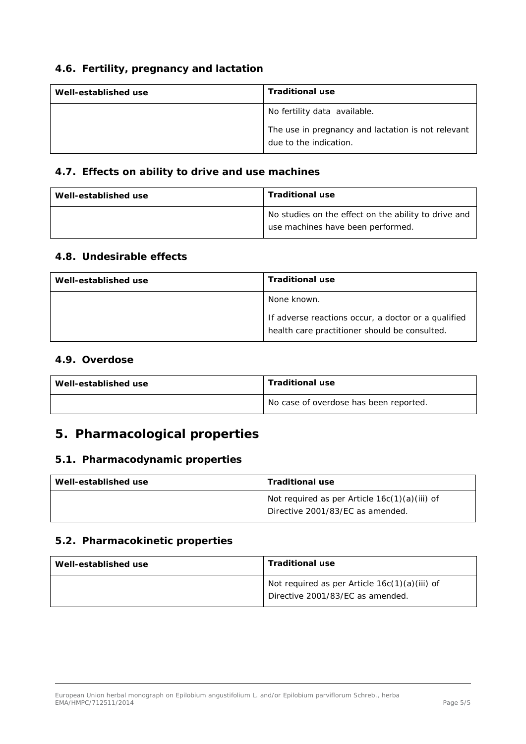### *4.6. Fertility, pregnancy and lactation*

| Well-established use | <b>Traditional use</b>                                                       |
|----------------------|------------------------------------------------------------------------------|
|                      | No fertility data available.                                                 |
|                      | The use in pregnancy and lactation is not relevant<br>due to the indication. |

### *4.7. Effects on ability to drive and use machines*

| Well-established use | <b>Traditional use</b>                                                                    |
|----------------------|-------------------------------------------------------------------------------------------|
|                      | No studies on the effect on the ability to drive and<br>use machines have been performed. |

#### *4.8. Undesirable effects*

| Well-established use | <b>Traditional use</b>                                                                               |
|----------------------|------------------------------------------------------------------------------------------------------|
|                      | None known.                                                                                          |
|                      | If adverse reactions occur, a doctor or a qualified<br>health care practitioner should be consulted. |

#### *4.9. Overdose*

| Well-established use | <b>Traditional use</b>                 |
|----------------------|----------------------------------------|
|                      | No case of overdose has been reported. |

# **5. Pharmacological properties**

#### *5.1. Pharmacodynamic properties*

| Well-established use | <b>Traditional use</b>                                                            |
|----------------------|-----------------------------------------------------------------------------------|
|                      | Not required as per Article 16c(1)(a)(iii) of<br>Directive 2001/83/EC as amended. |

#### *5.2. Pharmacokinetic properties*

| Well-established use | <b>Traditional use</b>                                                              |
|----------------------|-------------------------------------------------------------------------------------|
|                      | Not required as per Article $16c(1)(a)(iii)$ of<br>Directive 2001/83/EC as amended. |